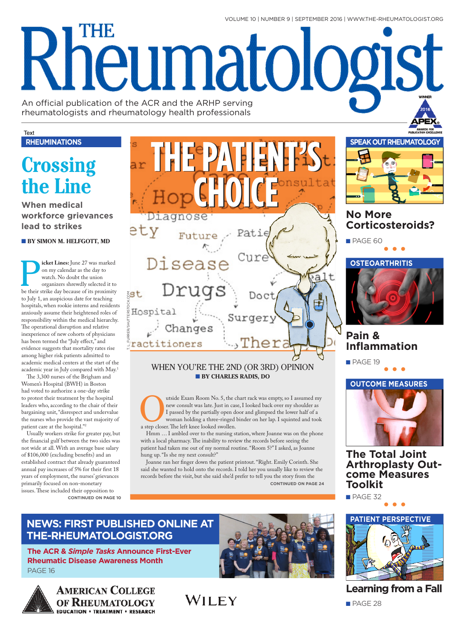VOLUME 10 | NUMBER 9 | SEPTEMBER 2016 | WWW.THE-RHEUMATOLOGIST.ORG

# THE **Kheumatologist**

An official publication of the ACR and the ARHP serving rheumatologists and rheumatology health professionals

#### Text **RHEUMINATIONS**

## **Crossing** the Line

**When medical** workforce grievances lead to strikes

#### **BY SIMON M. HELFGOTT, MD**

icket Lines: June 27 was marked on my calendar as the day to watch. No doubt the union organizers shrewdly selected it to be their strike day because of its proximity to July 1, an auspicious date for teaching hospitals, when rookie interns and residents anxiously assume their heightened roles of responsibility within the medical hierarchy. The operational disruption and relative inexperience of new cohorts of physicians has been termed the "July effect," and evidence suggests that mortality rates rise among higher risk patients admitted to academic medical centers at the start of the academic year in July compared with May.<sup>1</sup>

The 3,300 nurses of the Brigham and Women's Hospital (BWH) in Boston had voted to authorize a one-day strike to protest their treatment by the hospital leaders who, according to the chair of their bargaining unit, "disrespect and undervalue the nurses who provide the vast majority of patient care at the hospital."2

Usually workers strike for greater pay, but the financial gulf between the two sides was not wide at all. With an average base salary of \$106,000 (excluding benefits) and an established contract that already guaranteed annual pay increases of 5% for their first 18 years of employment, the nurses' grievances primarily focused on non-monetary issues. These included their opposition to **CONTINUED ON PAGE 10** 

Diagnose ety Future Diseas  $a<sup>J</sup>$ ruas  $t_{\rm B}$ Doc Hospital Surger Changes ractitioners

#### WHEN YOU'RE THE 2ND (OR 3RD) OPINION **BY CHARLES RADIS, DO**

utside Exam Room No. 5, the chart rack was empty, so I assumed my new consult was late. Just in case, I looked back over my shoulder as I passed by the partially open door and glimpsed the lower half of a woman holding a three-ringed binder on her lap. I squinted and took a step closer. The left knee looked swollen.

Hmm ... I ambled over to the nursing station, where Joanne was on the phone with a local pharmacy. The inability to review the records before seeing the patient had taken me out of my normal routine. "Room 5?" I asked, as Joanne hung up. "Is she my next consult?"

Joanne ran her finger down the patient printout. "Right. Emily Corinth. She said she wanted to hold onto the records. I told her you usually like to review the records before the visit, but she said she'd prefer to tell you the story from the **CONTINUED ON PAGE 24** 



### **No More Corticosteroids?**



## Pain & **Inflammation**

PAGE 19



**The Total Joint Arthroplasty Out**come Measures **Toolkit** 

PAGE 32



The ACR & Simple Tasks Announce First-Ever **Rheumatic Disease Awareness Month** PAGE 16



**AMERICAN COLLEGE** OF RHEUMATOLOGY





**Learning from a Fall** 

PAGE 28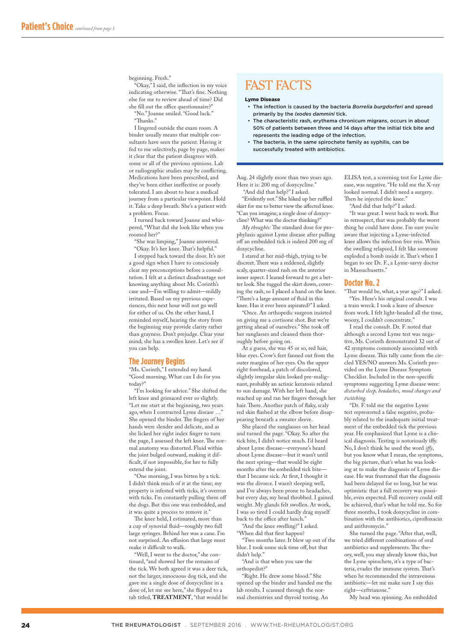#### beginning. Fresh."

"Okay," I said, the infection in my voice indicating otherwise. "That's fine. Nothing else for me to review ahead of time? Did she fill out the office questionnaire?"

"No." Joanne smiled. "Good luck." "Tanks."

I lingered outside the exam room. A binder usually means that multiple consultants have seen the patient. Having it fed to me selectively, page by page, makes it clear that the patient disagrees with some or all of the previous opinions. Lab or radiographic studies may be conficting. Medications have been prescribed, and they've been either inefective or poorly tolerated. I am about to hear a medical journey from a particular viewpoint. Hold it. Take a deep breath. She's a patient with a problem. Focus.

I turned back toward Joanne and whispered, "What did she look like when you roomed her?"

"She was limping," Joanne answered. "Okay. It's her knee. Tat's helpful."

I stepped back toward the door. It's not a good sign when I have to consciously clear my preconceptions before a consultation. I felt at a distinct disadvantage not knowing anything about Ms. Corinth's case and—I'm willing to admit—mildly irritated. Based on my previous experiences, this next hour will not go well for either of us. On the other hand, I reminded myself, hearing the story from the beginning may provide clarity rather than grayness. Don't prejudge. Clear your mind; she has a swollen knee. Let's see if you can help.

#### **The Journey Begins**

"Ms. Corinth," I extended my hand. "Good morning. What can I do for you today?"

"I'm looking for advice." She shifted the left knee and grimaced ever so slightly. "Let me start at the beginning, two years ago, when I contracted Lyme disease …" She opened the binder. The fingers of her hands were slender and delicate, and as she licked her right index fnger to turn the page, I assessed the left knee. The normal anatomy was distorted. Fluid within the joint bulged outward, making it diffcult, if not impossible, for her to fully extend the joint.

"One morning, I was bitten by a tick. I didn't think much of it at the time; my property is infested with ticks, it's overrun with ticks. I'm constantly pulling them off the dogs. But this one was embedded, and it was quite a process to remove it."

The knee held, I estimated, more than a cup of synovial fuid—roughly two full large syringes. Behind her was a cane. I'm not surprised. An efusion that large must make it difficult to walk.

"Well, I went to the doctor," she continued, "and showed her the remains of the tick. We both agreed it was a deer tick, not the larger, innocuous dog tick, and she gave me a single dose of doxycycline in a dose of, let me see here," she fipped to a tab titled, **TREATMENT**, "that would be

## FAST FACTS

#### Lyme Disease

- The infection is caused by the bacteria Borrelia burgdorferi and spread primarily by the *Ixodes dammini* tick.
- The characteristic rash, erythema chronicum migrans, occurs in about 50% of patients between three and 14 days after the initial tick bite and represents the leading edge of the infection.
- The bacteria, in the same spirochete family as syphilis, can be successfully treated with antibiotics.

Aug. 24 slightly more than two years ago. Here it is: 200 mg of doxycycline." "And did that help?" I asked.

"Evidently not." She hiked up her ruffled skirt for me to better view the afected knee. "Can you imagine, a single dose of doxycycline? What was the doctor thinking?"

*My thoughts:* The standard dose for prophylaxis against Lyme disease after pulling off an embedded tick is indeed 200 mg of doxycycline.

I stared at her mid-thigh, trying to be discreet. There was a reddened, slightly scaly, quarter-sized rash on the anterior inner aspect. I leaned forward to get a better look. She tugged the skirt down, covering the rash, so I placed a hand on the knee. "There's a large amount of fluid in this knee. Has it ever been aspirated?" I asked.

"Once. An orthopedic surgeon insisted on giving me a cortisone shot. But we're getting ahead of ourselves." She took of her sunglasses and cleaned them thoroughly before going on.

At a guess, she was 45 or so, red hair, blue eyes. Crow's feet fanned out from the outer margins of her eyes. On the upper right forehead, a patch of discolored, slightly irregular skin looked pre-malignant, probably an actinic keratosis related to sun damage. With her left hand, she reached up and ran her fngers through her hair. There. Another patch of flaky, scaly red skin fashed at the elbow before disappearing beneath a sweater sleeve.

She placed the sunglasses on her head and turned the page. "Okay. So after the tick bite, I didn't notice much. I'd heard about Lyme disease—everyone's heard about Lyme disease—but it wasn't until the next spring—that would be eight months after the embedded tick bite that I became sick. At frst, I thought it was the divorce. I wasn't sleeping well, and I've always been prone to headaches, but every day, my head throbbed. I gained weight. My glands felt swollen. At work, I was so tired I could hardly drag myself back to the office after lunch."

"And the knee swelling?" I asked. When did that first happen?

"Two months later. It blew up out of the blue. I took some sick time of, but that didn't help."

"And is that when you saw the orthopedist?"

"Right. He drew some blood." She opened up the binder and handed me the lab results. I scanned through the normal chemistries and thyroid testing. An

ELISA test, a screening test for Lyme disease, was negative. "He told me the X-ray looked normal. I didn't need a surgery. Then he injected the knee."

"And did that help?" I asked.

"It was great. I went back to work. But in retrospect, that was probably the worst thing he could have done. I'm sure you're aware that injecting a Lyme-infected knee allows the infection free rein. When the swelling relapsed, I felt like someone exploded a bomb inside it. That's when I began to see Dr. F., a Lyme-savvy doctor in Massachusetts."

#### **Doctor No. 2**

"That would be, what, a year ago?" I asked. "Yes. Here's his original consult. I was a train wreck. I took a leave of absence from work. I felt light-headed all the time, woozy, I couldn't concentrate."

I read the consult. Dr. F. noted that although a second Lyme test was negative, Ms. Corinth demonstrated 32 out of 42 symptoms commonly associated with Lyme disease. This tally came from the circled YES/NO answers Ms. Corinth provided on the Lyme Disease Symptom Checklist. Included in the non-specifc symptoms suggesting Lyme disease were: *disturbed sleep, headaches, mood changes and twitching.*

"Dr. F. told me the negative Lyme test represented a false negative, probably related to the inadequate initial treatment of the embedded tick the previous year. He emphasized that Lyme is a clinical diagnosis. Testing is notoriously ify. No, I don't think he used the word *ify*, but you know what I mean, the symptoms, the big picture, that's what he was looking at to make the diagnosis of Lyme disease. He was frustrated that the diagnosis had been delayed for so long, but he was optimistic that a full recovery was possible, even expected. Full recovery could still be achieved, that's what he told me. So for three months, I took doxycycline in combination with the antibiotics, ciprofoxacin and azithromycin."

She turned the page. "After that, well, we tried diferent combinations of oral antibiotics and supplements. The theory, well, you may already know this, but the Lyme spirochete, it's a type of bacteria, evades the immune system. That's when he recommended the intravenous antibiotic—let me make sure I say this right—ceftriaxone."

My head was spinning. An embedded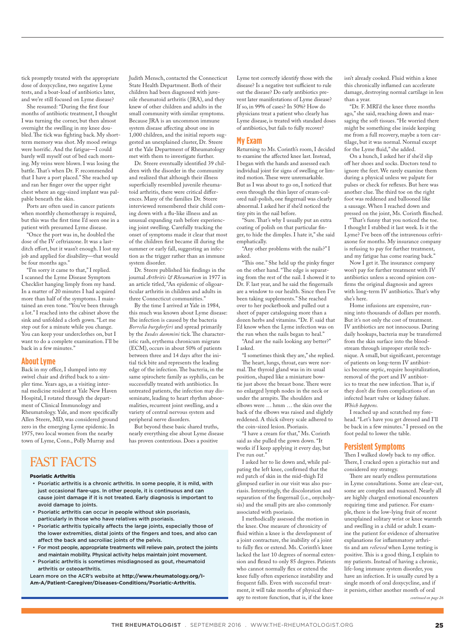tick promptly treated with the appropriate dose of doxycycline, two negative Lyme tests, and a boat-load of antibiotics later, and we're still focused on Lyme disease?

She resumed: "During the frst four months of antibiotic treatment, I thought I was turning the corner, but then almost overnight the swelling in my knee doubled. The tick was fighting back. My shortterm memory was shot. My mood swings were horrifc. And the fatigue—I could barely will myself out of bed each morning. My veins were blown. I was losing the battle. That's when Dr. F. recommended that I have a port placed." She reached up and ran her fnger over the upper right chest where an egg-sized implant was palpable beneath the skin.

Ports are often used in cancer patients when monthly chemotherapy is required, but this was the frst time I'd seen one in a patient with presumed Lyme disease.

"Once the port was in, he doubled the dose of the IV ceftriaxone. It was a lastditch effort, but it wasn't enough. I lost my job and applied for disability—that would be four months ago."

"I'm sorry it came to that," I replied. I scanned the Lyme Disease Symptom Checklist hanging limply from my hand. In a matter of 20 minutes I had acquired more than half of the symptoms. I maintained an even tone. "You've been through a lot." I reached into the cabinet above the sink and unfolded a cloth gown. "Let me step out for a minute while you change. You can keep your underclothes on, but I want to do a complete examination. I'll be back in a few minutes."

#### **About Lyme**

Back in my office, I slumped into my swivel chair and drifted back to a simpler time. Years ago, as a visiting internal medicine resident at Yale New Haven Hospital, I rotated through the department of Clinical Immunology and Rheumatology. Yale, and more specifcally Allen Steere, MD, was considered ground zero in the emerging Lyme epidemic. In 1975, two local women from the nearby town of Lyme, Conn., Polly Murray and

Judith Mensch, contacted the Connecticut State Health Department. Both of their children had been diagnosed with juvenile rheumatoid arthritis (JRA), and they knew of other children and adults in the small community with similar symptoms. Because JRA is an uncommon immune system disease afecting about one in 1,000 children, and the initial reports suggested an unexplained cluster, Dr. Steere at the Yale Department of Rheumatology met with them to investigate further.

Dr. Steere eventually identifed 39 children with the disorder in the community and realized that although their illness superficially resembled juvenile rheumatoid arthritis, there were critical diferences. Many of the families Dr. Steere interviewed remembered their child coming down with a fu-like illness and an unusual expanding rash before experiencing joint swelling. Carefully tracking the onset of symptoms made it clear that most of the children frst became ill during the summer or early fall, suggesting an infection as the trigger rather than an immune system disorder.

Dr. Steere published his fndings in the journal *Arthritis & Rheumatism* in 1977 in an article titled, "An epidemic of oligoarticular arthritis in children and adults in three Connecticut communities."

By the time I arrived at Yale in 1984, this much was known about Lyme disease: The infection is caused by the bacteria *Borrelia burgdorferi* and spread primarily by the *Ixodes dammini* tick. The characteristic rash, erythema chronicum migrans (ECM), occurs in about 50% of patients between three and 14 days after the initial tick bite and represents the leading edge of the infection. The bacteria, in the same spirochete family as syphilis, can be successfully treated with antibiotics. In untreated patients, the infection may disseminate, leading to heart rhythm abnormalities, recurrent joint swelling, and a variety of central nervous system and peripheral nerve disorders.

But beyond these basic shared truths, nearly everything else about Lyme disease has proven contentious. Does a positive

## FAST FACTS

#### Psoriatic Arthritis

- Psoriatic arthritis is a chronic arthritis. In some people, it is mild, with just occasional flare-ups. In other people, it is continuous and can cause joint damage if it is not treated. Early diagnosis is important to avoid damage to joints.
- Psoriatic arthritis can occur in people without skin psoriasis, particularly in those who have relatives with psoriasis.
- Psoriatic arthritis typically affects the large joints, especially those of the lower extremities, distal joints of the fingers and toes, and also can affect the back and sacroiliac joints of the pelvis.
- For most people, appropriate treatments will relieve pain, protect the joints and maintain mobility. Physical activity helps maintain joint movement.
- Psoriatic arthritis is sometimes misdiagnosed as gout, rheumatoid arthritis or osteoarthritis.

Learn more on the ACR's website at **http://www.rheumatology.org/I-Am-A/Patient-Caregiver/Diseases-Conditions/Psoriatic-Arthritis.**

Lyme test correctly identify those with the disease? Is a negative test sufficient to rule out the disease? Do early antibiotics prevent later manifestations of Lyme disease? If so, in 99% of cases? In 50%? How do physicians treat a patient who clearly has Lyme disease, is treated with standard doses of antibiotics, but fails to fully recover?

#### **My Exam**

Returning to Ms. Corinth's room, I decided to examine the afected knee last. Instead, I began with the hands and assessed each individual joint for signs of swelling or limited motion. These were unremarkable. But as I was about to go on, I noticed that even through the thin layer of cream-colored nail-polish, one fngernail was clearly abnormal. I asked her if she'd noticed the tiny pits in the nail before.

"Sure. That's why I usually put an extra coating of polish on that particular fnger, to hide the dimples. I hate it," she said emphatically.

"Any other problems with the nails?" I asked.

"This one." She held up the pinky finger on the other hand. "The edge is separating from the rest of the nail. I showed it to Dr. F. last year, and he said the fngernails are a window to our health. Since then I've been taking supplements." She reached over to her pocketbook and pulled out a sheet of paper cataloguing more than a dozen herbs and vitamins. "Dr. F. said that I'd know when the Lyme infection was on the run when the nails began to heal."

"And are the nails looking any better?" I asked.

"I sometimes think they are," she replied. The heart, lungs, throat, ears were nor-

mal. The thyroid gland was in its usual position, shaped like a miniature bowtie just above the breast bone. There were no enlarged lymph nodes in the neck or under the armpits. The shoulders and elbows were … hmm … the skin over the back of the elbows was raised and slightly reddened. A thick silvery scale adhered to the coin-sized lesion. Psoriasis.

"I have a cream for that," Ms. Corinth said as she pulled the gown down. "It works if I keep applying it every day, but I've run out."

I asked her to lie down and, while palpating the left knee, confrmed that the red patch of skin in the mid-thigh I'd glimpsed earlier in our visit was also psoriasis. Interestingly, the discoloration and separation of the fngernail (i.e., onycholysis) and the small pits are also commonly associated with psoriasis.

I methodically assessed the motion in the knee. One measure of chronicity of fuid within a knee is the development of a joint contracture, the inability of a joint to fully fex or extend. Ms. Corinth's knee lacked the last 10 degrees of normal extension and fexed to only 85 degrees. Patients who cannot normally fex or extend the knee fully often experience instability and frequent falls. Even with successful treatment, it will take months of physical therapy to restore function, that is, if the knee

isn't already cooked. Fluid within a knee this chronically infamed can accelerate damage, destroying normal cartilage in less than a year.

"Dr. F. MRI'd the knee three months ago," she said, reaching down and massaging the soft tissues. "He worried there might be something else inside keeping me from a full recovery, maybe a torn cartilage, but it was normal. Normal except for the Lyme fuid," she added.

On a hunch, I asked her if she'd slip of her shoes and socks. Doctors tend to ignore the feet. We rarely examine them during a physical unless we palpate for pulses or check for refexes. But here was another clue. The third toe on the right foot was reddened and ballooned like a sausage. When I reached down and pressed on the joint, Ms. Corinth finched.

"That's funny that you noticed the toe. I thought I stubbed it last week. Is it the Lyme? I've been off the intravenous ceftriaxone for months. My insurance company is refusing to pay for further treatment, and my fatigue has come roaring back."

Now I get it. The insurance company won't pay for further treatment with IV antibiotics unless a second opinion confrms the original diagnosis and agrees with long-term IV antibiotics. That's why she's here.

Home infusions are expensive, running into thousands of dollars per month. But it's not only the cost of treatment. IV antibiotics are not innocuous. During daily hookups, bacteria may be transferred from the skin surface into the bloodstream through improper sterile technique. A small, but signifcant, percentage of patients on long-term IV antibiotics become septic, require hospitalization, removal of the port and IV antibiotics to treat the new infection. That is, if they don't die from complications of an infected heart valve or kidney failure. *Which happens.*

I reached up and scratched my forehead. "Let's have you get dressed and I'll be back in a few minutes." I pressed on the foot pedal to lower the table.

#### **Persistent Symptoms**

Then I walked slowly back to my office. There, I cracked open a pistachio nut and considered my strategy.

There are nearly endless permutations in Lyme consultations. Some are clear-cut, some are complex and nuanced. Nearly all are highly charged emotional encounters requiring time and patience. For example, there is the low-lying fruit of recent unexplained solitary wrist or knee warmth and swelling in a child or adult. I examine the patient for evidence of alternative explanations for infammatory arthritis and am *relieved* when Lyme testing is positive. This is a good thing, I explain to my patients. Instead of having a chronic, life-long immune system disorder, you have an infection. It is usually cured by a single month of oral doxycycline, and if it persists, either another month of oral *continued on page 26*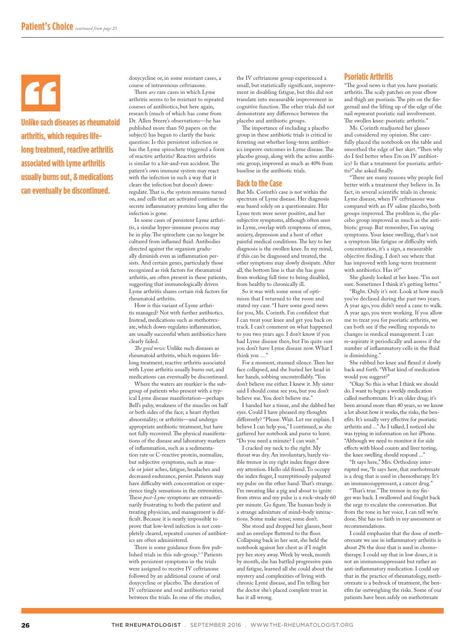**Unlike such diseases as rheumatoid arthritis, which requires lifelong treatment, reactive arthritis associated with Lyme arthritis usually burns out, & medications can eventually be discontinued.**

doxycycline or, in some resistant cases, a course of intravenous ceftriaxone.

There *are* rare cases in which Lyme arthritis seems to be resistant to repeated courses of antibiotics, but here again, research (much of which has come from Dr. Allen Steere's observations—he has published more than 50 papers on the subject) has begun to clarify the basic question: Is this persistent infection or has the Lyme spirochete triggered a form of reactive arthritis? Reactive arthritis is similar to a hit-and-run accident. The patient's own immune system may react with the infection in such a way that it clears the infection but doesn't downregulate. That is, the system remains turned on, and cells that are activated continue to secrete infammatory proteins long after the infection is gone.

In some cases of persistent Lyme arthritis, a similar hyper-immune process may be in play. The spirochete can no longer be cultured from infamed fuid. Antibodies directed against the organism gradually diminish even as infammation persists. And certain genes, particularly those recognized as risk factors for rheumatoid arthritis, are often present in these patients, suggesting that immunologically driven Lyme arthritis shares certain risk factors for rheumatoid arthritis.

How is this variant of Lyme arthritis managed? Not with further antibiotics. Instead, medications such as methotrexate, which down-regulates infammation, are usually successful when antibiotics have clearly failed.

*Te good news:* Unlike such diseases as rheumatoid arthritis, which requires lifelong treatment, reactive arthritis associated with Lyme arthritis usually burns out, and medications can eventually be discontinued.

Where the waters are murkier is the subgroup of patients who present with a typical Lyme disease manifestation—perhaps Bell's palsy, weakness of the muscles on half or both sides of the face; a heart rhythm abnormality; or arthritis—and undergo appropriate antibiotic treatment, but have not fully recovered. The physical manifestations of the disease and laboratory markers of infammation, such as a sedimentation rate or C-reactive protein, normalize, but subjective symptoms, such as muscle or joint aches, fatigue, headaches and decreased endurance, persist. Patients may have difficulty with concentration or experience tingly sensations in the extremities. These *post-Lyme* symptoms are extraordinarily frustrating to both the patient and treating physician, and management is difficult. Because it is nearly impossible to prove that low-level infection is not completely cleared, repeated courses of antibiotics are often administered.

There is some guidance from five published trials in this sub-group.1-5 Patients with persistent symptoms in the trials were assigned to receive IV ceftriaxone followed by an additional course of oral doxycycline or placebo. The duration of IV ceftriaxone and oral antibiotics varied between the trials. In one of the studies,

the IV ceftriaxone group experienced a small, but statistically signifcant, improvement in disabling fatigue, but this did not translate into measurable improvement in cognitive function. The other trials did not demonstrate any diference between the placebo and antibiotic groups.

The importance of including a placebo group in these antibiotic trials is critical in ferreting out whether long-term antibiotics improve outcomes in Lyme disease. The placebo group, along with the active antibiotic group, improved as much as 40% from baseline in the antibiotic trials.

#### **Back to the Case**

But Ms. Corinth's case is not within the spectrum of Lyme disease. Her diagnosis was based solely on a questionnaire. Her Lyme tests were never positive, and her subjective symptoms, although often seen in Lyme, overlap with symptoms of stress, anxiety, depression and a host of other painful medical conditions. The key to her diagnosis is the swollen knee. In my mind, if this can be diagnosed and treated, the other symptoms may slowly dissipate. After all, the bottom line is that she has gone from working full time to being disabled, from healthy to chronically ill.

So it was with some sense of optimism that I returned to the room and stated my case. "I have some good news for you, Ms. Corinth. I'm confdent that I can treat your knee and get you back on track. I can't comment on what happened to you two years ago. I don't know if you had Lyme disease then, but I'm quite sure you don't have Lyme disease now. What I think you …"

For a moment, stunned silence. Then her face collapsed, and she buried her head in her hands, sobbing uncontrollably. "You don't believe me either. I knew it. My sister said I should come see you, but you don't believe me. You don't believe me."

I handed her a tissue, and she dabbed her eyes. Could I have phrased my thoughts diferently? "Please. Wait. Let me explain. I believe I can help you," I continued, as she gathered her notebook and purse to leave. "Do you need a minute? I can wait."

I cracked my neck to the right. My throat was dry. An involuntary, barely visible tremor in my right index fnger drew my attention. Hello old friend. To occupy the index fnger, I surreptitiously palpated my pulse on the other hand. That's strange. I'm sweating like a pig and about to ignite from stress and my pulse is a rock-steady 60 per minute. Go figure. The human body is a strange admixture of mind–body interactions. Some make sense; some don't.

She stood and dropped her glasses, bent and an envelope fluttered to the floor. Collapsing back in her seat, she held the notebook against her chest as if I might pry her story away. Week by week, month by month, she has battled progressive pain and fatigue, learned all she could about the mystery and complexities of living with chronic Lyme disease, and I'm telling her the doctor she's placed complete trust in has it all wrong.

#### **Psoriatic Arthritis**

"The good news is that you have psoriatic arthritis. The scaly patches on your elbow and thigh are psoriasis. The pits on the fingernail and the lifting up of the edge of the nail represent psoriatic nail involvement. The swollen knee: psoriatic arthritis."

Ms. Corinth readjusted her glasses and considered my opinion. She carefully placed the notebook on the table and smoothed the edge of her skirt. "Then why do I feel better when I'm on IV antibiotics? Is that a treatment for psoriatic arthritis?" she asked fnally.

"There are many reasons why people feel better with a treatment they believe in. In fact, in several scientifc trials in chronic Lyme disease, when IV ceftriaxone was compared with an IV saline placebo, both groups improved. The problem is, the placebo group improved as much as the antibiotic group. But remember, I'm saying symptoms. Your knee swelling, that's not a symptom like fatigue or difficulty with concentration, it's a sign, a measurable objective fnding. I don't see where that has improved with long-term treatment with antibiotics. Has it?"

She glumly looked at her knee. "I'm not sure. Sometimes I think it's getting better."

"Right. Only it's not. Look at how much you've declined during the past two years. A year ago, you didn't need a cane to walk. A year ago, you were working. If you allow me to treat you for psoriatic arthritis, we can both see if the swelling responds to changes in medical management. I can re-aspirate it periodically and assess if the number of infammatory cells in the fuid is diminishing."

She rubbed her knee and fexed it slowly back and forth. "What kind of medication would you suggest?"

"Okay. So this is what I think we should do. I want to begin a weekly medication called methotrexate. It's an older drug; it's been around more than 40 years, so we know a lot about how it works, the risks, the benefts. It's usually very efective for psoriatic arthritis and ..." As I talked, I noticed she was typing in information on her iPhone. "Although we need to monitor it for side efects with blood counts and liver testing, the knee swelling should respond ..."

"It says here," Mrs. Orthodoxy interrupted me, "It says here, that methotrexate is a drug that is used in chemotherapy. It's an immunosuppressant, a cancer drug."

"That's true." The tremor in my finger was back. I swallowed and fought back the urge to escalate the conversation. But from the tone in her voice, I can tell we're done. She has no faith in my assessment or recommendations.

I could emphasize that the dose of methotrexate we use in infammatory arthritis is about 2% the dose that is used in chemotherapy. I could say that in low doses, it is not an immunosuppressant but rather an anti-infammatory medication. I could say that in the practice of rheumatology, methotrexate is a bedrock of treatment, the benefts far outweighing the risks. Some of our patients have been safely on methotrexate